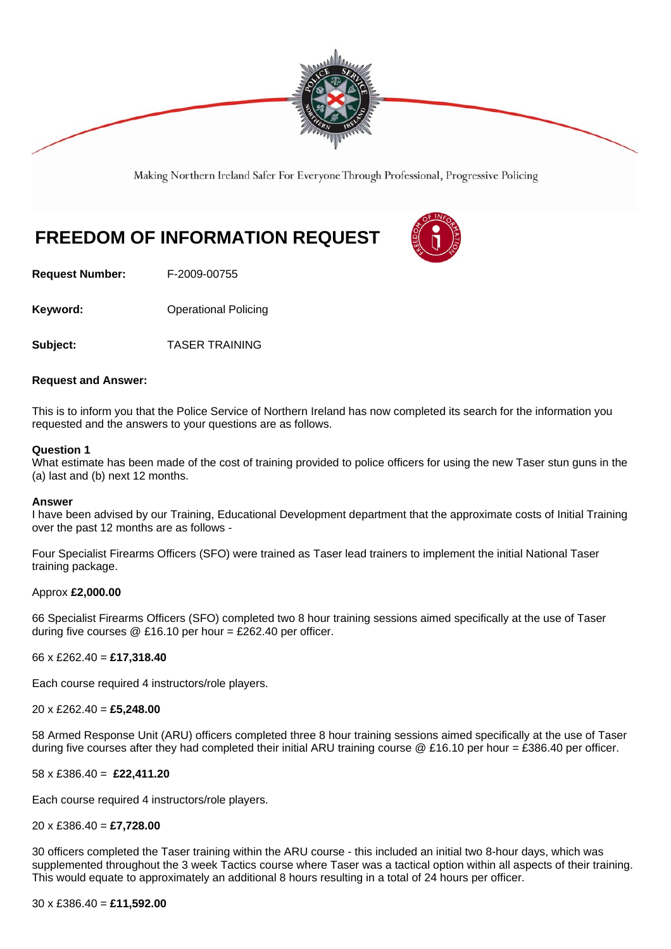

Making Northern Ireland Safer For Everyone Through Professional, Progressive Policing

# **FREEDOM OF INFORMATION REQUEST**



**Request Number:** F-2009-00755

**Keyword: Conservery Operational Policing** 

**Subject:** TASER TRAINING

# **Request and Answer:**

This is to inform you that the Police Service of Northern Ireland has now completed its search for the information you requested and the answers to your questions are as follows.

# **Question 1**

What estimate has been made of the cost of training provided to police officers for using the new Taser stun guns in the (a) last and (b) next 12 months.

#### **Answer**

I have been advised by our Training, Educational Development department that the approximate costs of Initial Training over the past 12 months are as follows -

Four Specialist Firearms Officers (SFO) were trained as Taser lead trainers to implement the initial National Taser training package.

#### Approx **£2,000.00**

66 Specialist Firearms Officers (SFO) completed two 8 hour training sessions aimed specifically at the use of Taser during five courses  $@E16.10$  per hour = £262.40 per officer.

66 x £262.40 = **£17,318.40** 

Each course required 4 instructors/role players.

20 x £262.40 = **£5,248.00** 

58 Armed Response Unit (ARU) officers completed three 8 hour training sessions aimed specifically at the use of Taser during five courses after they had completed their initial ARU training course @ £16.10 per hour = £386.40 per officer.

58 x £386.40 = **£22,411.20**

Each course required 4 instructors/role players.

#### 20 x £386.40 = **£7,728.00**

30 officers completed the Taser training within the ARU course - this included an initial two 8-hour days, which was supplemented throughout the 3 week Tactics course where Taser was a tactical option within all aspects of their training. This would equate to approximately an additional 8 hours resulting in a total of 24 hours per officer.